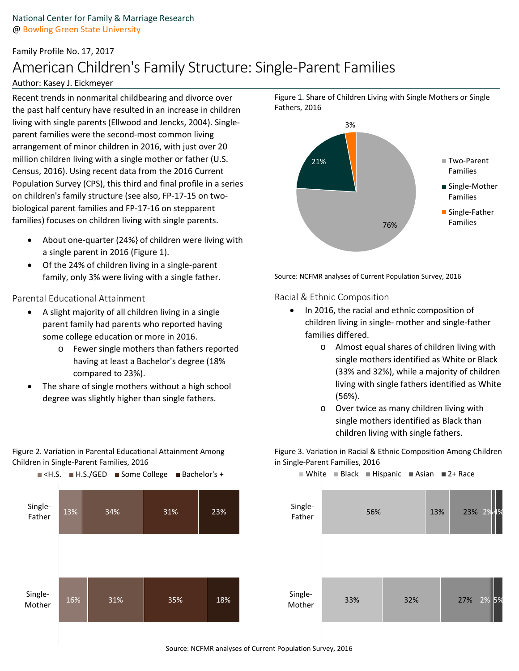# Family Profile No. 17, 2017 American Children's Family Structure: Single-Parent Families

## Author: Kasey J. Eickmeyer

Recent trends in nonmarital childbearing and divorce over the past half century have resulted in an increase in children living with single parents (Ellwood and Jencks, 2004). Singleparent families were the second-most common living arrangement of minor children in 2016, with just over 20 million children living with a single mother or father (U.S. Census, 2016). Using recent data from the 2016 Current Population Survey (CPS), this third and final profile in a series on children's family structure (see also, FP-17-15 on twobiological parent families and FP-17-16 on stepparent families) focuses on children living with single parents.

- About one-quarter (24%} of children were living with a single parent in 2016 (Figure 1).
- Of the 24% of children living in a single-parent family, only 3% were living with a single father.

## Parental Educational Attainment

- A slight majority of all children living in a single parent family had parents who reported having some college education or more in 2016.
	- o Fewer single mothers than fathers reported having at least a Bachelor's degree (18% compared to 23%).
- The share of single mothers without a high school degree was slightly higher than single fathers.

Figure 2. Variation in Parental Educational Attainment Among Children in Single-Parent Families, 2016





Figure 1. Share of Children Living with Single Mothers or Single Fathers, 2016

Source: NCFMR analyses of Current Population Survey, 2016

Racial & Ethnic Composition

- In 2016, the racial and ethnic composition of children living in single- mother and single-father families differed.
	- o Almost equal shares of children living with single mothers identified as White or Black (33% and 32%), while a majority of children living with single fathers identified as White (56%).
	- o Over twice as many children living with single mothers identified as Black than children living with single fathers.

Figure 3. Variation in Racial & Ethnic Composition Among Children in Single-Parent Families, 2016



Source: NCFMR analyses of Current Population Survey, 2016